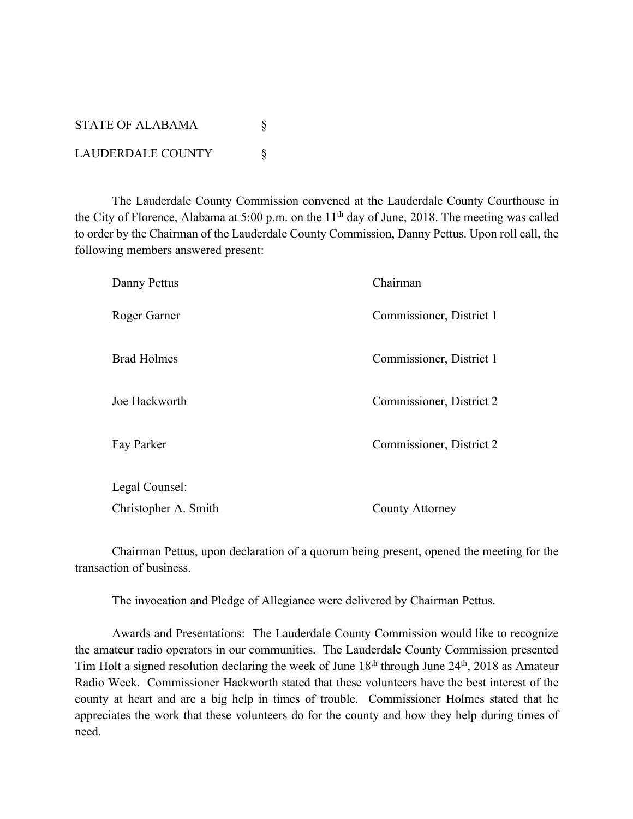| <b>STATE OF ALABAMA</b> |  |
|-------------------------|--|
| LAUDERDALE COUNTY       |  |

The Lauderdale County Commission convened at the Lauderdale County Courthouse in the City of Florence, Alabama at 5:00 p.m. on the 11<sup>th</sup> day of June, 2018. The meeting was called to order by the Chairman of the Lauderdale County Commission, Danny Pettus. Upon roll call, the following members answered present:

| Danny Pettus         | Chairman                 |
|----------------------|--------------------------|
| Roger Garner         | Commissioner, District 1 |
| <b>Brad Holmes</b>   | Commissioner, District 1 |
| Joe Hackworth        | Commissioner, District 2 |
| Fay Parker           | Commissioner, District 2 |
| Legal Counsel:       |                          |
| Christopher A. Smith | County Attorney          |

Chairman Pettus, upon declaration of a quorum being present, opened the meeting for the transaction of business.

The invocation and Pledge of Allegiance were delivered by Chairman Pettus.

Awards and Presentations: The Lauderdale County Commission would like to recognize the amateur radio operators in our communities. The Lauderdale County Commission presented Tim Holt a signed resolution declaring the week of June 18th through June 24th, 2018 as Amateur Radio Week. Commissioner Hackworth stated that these volunteers have the best interest of the county at heart and are a big help in times of trouble. Commissioner Holmes stated that he appreciates the work that these volunteers do for the county and how they help during times of need.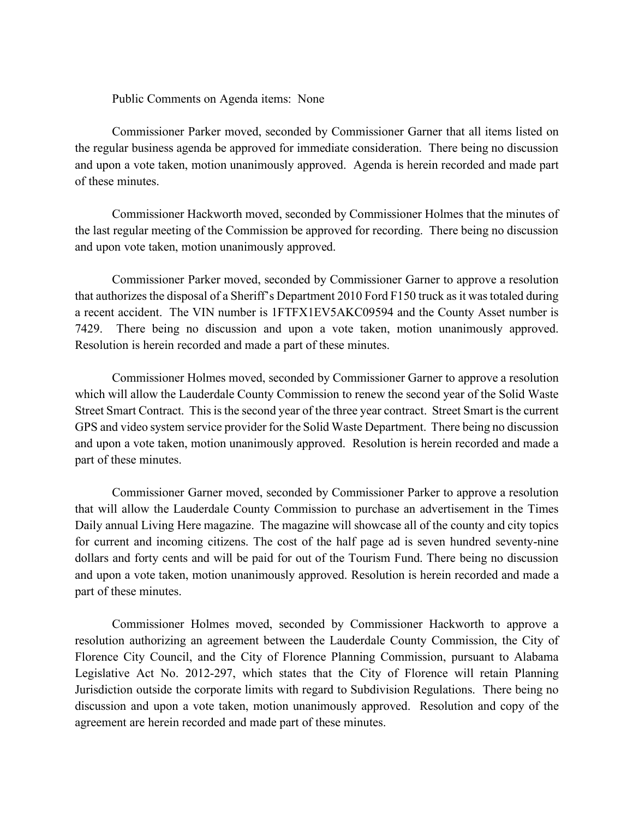Public Comments on Agenda items: None

Commissioner Parker moved, seconded by Commissioner Garner that all items listed on the regular business agenda be approved for immediate consideration. There being no discussion and upon a vote taken, motion unanimously approved. Agenda is herein recorded and made part of these minutes.

Commissioner Hackworth moved, seconded by Commissioner Holmes that the minutes of the last regular meeting of the Commission be approved for recording. There being no discussion and upon vote taken, motion unanimously approved.

Commissioner Parker moved, seconded by Commissioner Garner to approve a resolution that authorizesthe disposal of a Sheriff's Department 2010 Ford F150 truck as it was totaled during a recent accident. The VIN number is 1FTFX1EV5AKC09594 and the County Asset number is 7429. There being no discussion and upon a vote taken, motion unanimously approved. Resolution is herein recorded and made a part of these minutes.

Commissioner Holmes moved, seconded by Commissioner Garner to approve a resolution which will allow the Lauderdale County Commission to renew the second year of the Solid Waste Street Smart Contract. This is the second year of the three year contract. Street Smart is the current GPS and video system service provider for the Solid Waste Department. There being no discussion and upon a vote taken, motion unanimously approved. Resolution is herein recorded and made a part of these minutes.

Commissioner Garner moved, seconded by Commissioner Parker to approve a resolution that will allow the Lauderdale County Commission to purchase an advertisement in the Times Daily annual Living Here magazine. The magazine will showcase all of the county and city topics for current and incoming citizens. The cost of the half page ad is seven hundred seventy-nine dollars and forty cents and will be paid for out of the Tourism Fund. There being no discussion and upon a vote taken, motion unanimously approved. Resolution is herein recorded and made a part of these minutes.

Commissioner Holmes moved, seconded by Commissioner Hackworth to approve a resolution authorizing an agreement between the Lauderdale County Commission, the City of Florence City Council, and the City of Florence Planning Commission, pursuant to Alabama Legislative Act No. 2012-297, which states that the City of Florence will retain Planning Jurisdiction outside the corporate limits with regard to Subdivision Regulations. There being no discussion and upon a vote taken, motion unanimously approved. Resolution and copy of the agreement are herein recorded and made part of these minutes.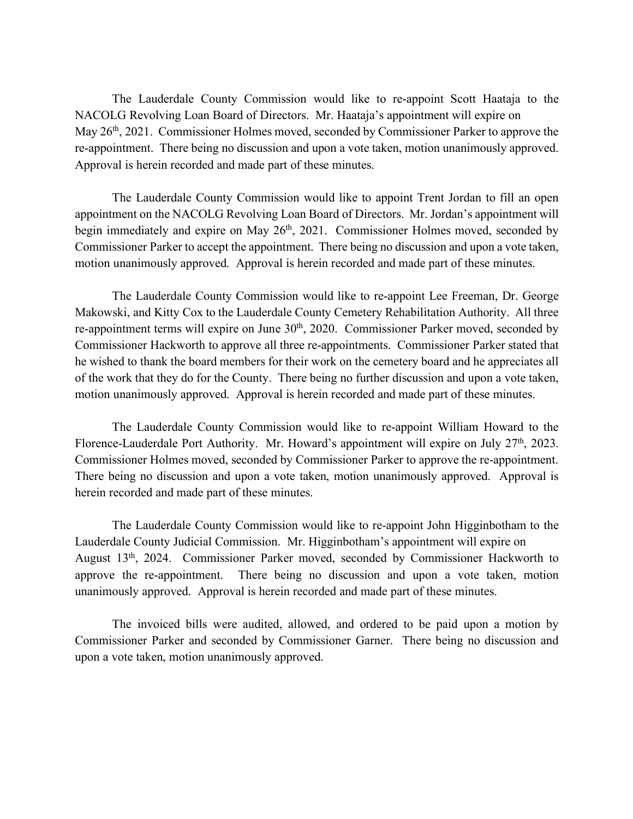The Lauderdale County Commission would like to re-appoint Scott Haataja to the NACOLG Revolving Loan Board of Directors. Mr. Haataja's appointment will expire on May 26<sup>th</sup>, 2021. Commissioner Holmes moved, seconded by Commissioner Parker to approve the re-appointment. There being no discussion and upon a vote taken, motion unanimously approved. Approval is herein recorded and made part of these minutes.

The Lauderdale County Commission would like to appoint Trent Jordan to fill an open appointment on the NACOLG Revolving Loan Board of Directors. Mr. Jordan's appointment will begin immediately and expire on May  $26<sup>th</sup>$ , 2021. Commissioner Holmes moved, seconded by Commissioner Parker to accept the appointment. There being no discussion and upon a vote taken, motion unanimously approved. Approval is herein recorded and made part of these minutes.

The Lauderdale County Commission would like to re-appoint Lee Freeman, Dr. George Makowski, and Kitty Cox to the Lauderdale County Cemetery Rehabilitation Authority. All three re-appointment terms will expire on June 30<sup>th</sup>, 2020. Commissioner Parker moved, seconded by Commissioner Hackworth to approve all three re-appointments. Commissioner Parker stated that he wished to thank the board members for their work on the cemetery board and he appreciates all of the work that they do for the County. There being no further discussion and upon a vote taken, motion unanimously approved. Approval is herein recorded and made part of these minutes.

The Lauderdale County Commission would like to re-appoint William Howard to the Florence-Lauderdale Port Authority. Mr. Howard's appointment will expire on July 27<sup>th</sup>, 2023. Commissioner Holmes moved, seconded by Commissioner Parker to approve the re-appointment. There being no discussion and upon a vote taken, motion unanimously approved. Approval is herein recorded and made part of these minutes.

The Lauderdale County Commission would like to re-appoint John Higginbotham to the Lauderdale County Judicial Commission. Mr. Higginbotham's appointment will expire on August 13th, 2024. Commissioner Parker moved, seconded by Commissioner Hackworth to approve the re-appointment. There being no discussion and upon a vote taken, motion unanimously approved. Approval is herein recorded and made part of these minutes.

The invoiced bills were audited, allowed, and ordered to be paid upon a motion by Commissioner Parker and seconded by Commissioner Garner. There being no discussion and upon a vote taken, motion unanimously approved.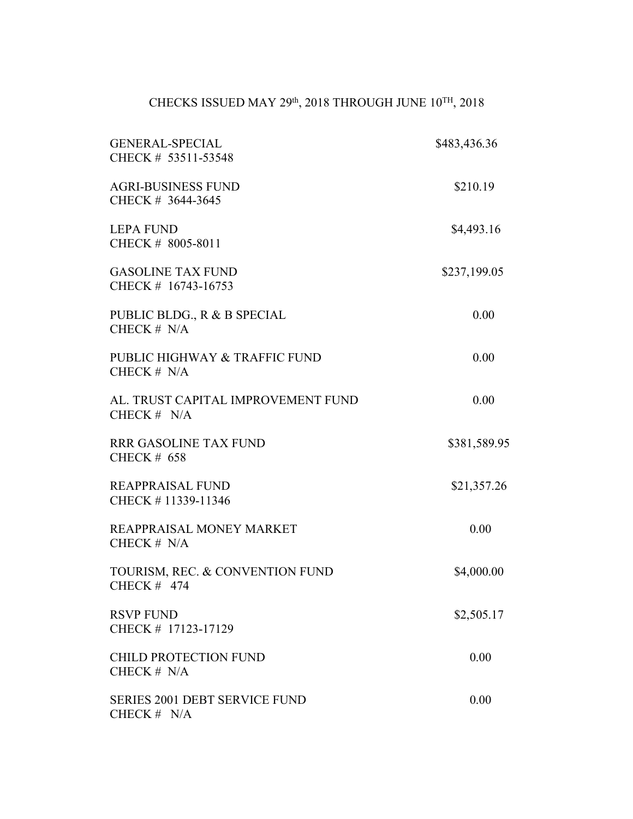## CHECKS ISSUED MAY 29<sup>th</sup>, 2018 THROUGH JUNE  $10^{TH}$ , 2018

| <b>GENERAL-SPECIAL</b><br>CHECK # 53511-53548         | \$483,436.36 |
|-------------------------------------------------------|--------------|
| <b>AGRI-BUSINESS FUND</b><br>CHECK # 3644-3645        | \$210.19     |
| <b>LEPA FUND</b><br>CHECK # 8005-8011                 | \$4,493.16   |
| <b>GASOLINE TAX FUND</b><br>CHECK # 16743-16753       | \$237,199.05 |
| PUBLIC BLDG., R & B SPECIAL<br>CHECK $# N/A$          | 0.00         |
| PUBLIC HIGHWAY & TRAFFIC FUND<br>CHECK $# N/A$        | 0.00         |
| AL. TRUST CAPITAL IMPROVEMENT FUND<br>CHECK $# N/A$   | 0.00         |
| RRR GASOLINE TAX FUND<br><b>CHECK # 658</b>           | \$381,589.95 |
| <b>REAPPRAISAL FUND</b><br>CHECK #11339-11346         | \$21,357.26  |
| REAPPRAISAL MONEY MARKET<br>CHECK $# N/A$             | 0.00         |
| TOURISM, REC. & CONVENTION FUND<br>CHECK $#$ 474      | \$4,000.00   |
| <b>RSVP FUND</b><br>CHECK # 17123-17129               | \$2,505.17   |
| <b>CHILD PROTECTION FUND</b><br>CHECK $# N/A$         | 0.00         |
| <b>SERIES 2001 DEBT SERVICE FUND</b><br>CHECK $# N/A$ | 0.00         |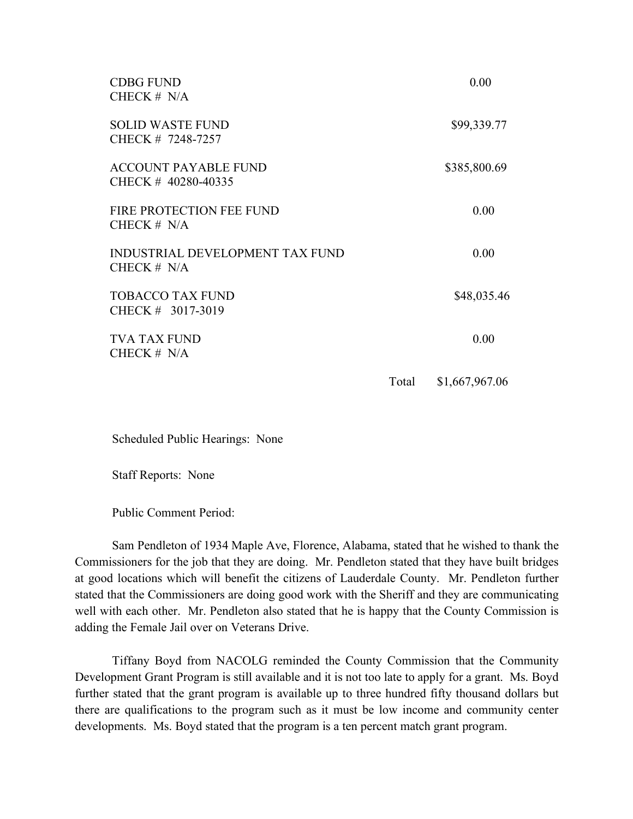| <b>CDBG FUND</b><br>CHECK $# N/A$                       |       | 0.00           |
|---------------------------------------------------------|-------|----------------|
| <b>SOLID WASTE FUND</b><br>CHECK # 7248-7257            |       | \$99,339.77    |
| <b>ACCOUNT PAYABLE FUND</b><br>CHECK # 40280-40335      |       | \$385,800.69   |
| FIRE PROTECTION FEE FUND<br>CHECK $# N/A$               |       | 0.00           |
| <b>INDUSTRIAL DEVELOPMENT TAX FUND</b><br>CHECK $# N/A$ |       | 0.00           |
| <b>TOBACCO TAX FUND</b><br>CHECK # 3017-3019            |       | \$48,035.46    |
| <b>TVA TAX FUND</b><br>CHECK $# N/A$                    |       | 0.00           |
|                                                         | Total | \$1,667,967.06 |

Scheduled Public Hearings: None

Staff Reports: None

Public Comment Period:

Sam Pendleton of 1934 Maple Ave, Florence, Alabama, stated that he wished to thank the Commissioners for the job that they are doing. Mr. Pendleton stated that they have built bridges at good locations which will benefit the citizens of Lauderdale County. Mr. Pendleton further stated that the Commissioners are doing good work with the Sheriff and they are communicating well with each other. Mr. Pendleton also stated that he is happy that the County Commission is adding the Female Jail over on Veterans Drive.

Tiffany Boyd from NACOLG reminded the County Commission that the Community Development Grant Program is still available and it is not too late to apply for a grant. Ms. Boyd further stated that the grant program is available up to three hundred fifty thousand dollars but there are qualifications to the program such as it must be low income and community center developments. Ms. Boyd stated that the program is a ten percent match grant program.